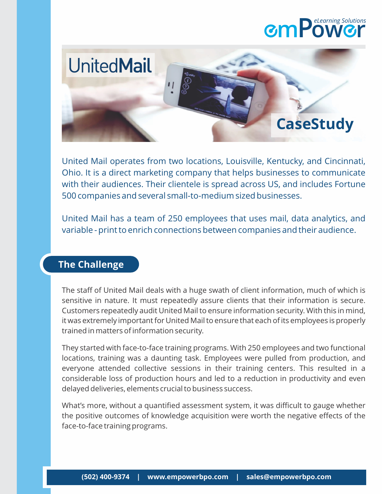## **mPow r** *eLearning Solutions*



United Mail operates from two locations, Louisville, Kentucky, and Cincinnati, Ohio. It is a direct marketing company that helps businesses to communicate with their audiences. Their clientele is spread across US, and includes Fortune 500 companies and several small-to-medium sized businesses.

United Mail has a team of 250 employees that uses mail, data analytics, and variable - print to enrich connections between companies and their audience.

## **The Challenge**

The staff of United Mail deals with a huge swath of client information, much of which is sensitive in nature. It must repeatedly assure clients that their information is secure. Customers repeatedly audit United Mail to ensure information security. With this in mind, it was extremely important for United Mail to ensure that each of its employees is properly trained in matters of information security.

They started with face-to-face training programs. With 250 employees and two functional locations, training was a daunting task. Employees were pulled from production, and everyone attended collective sessions in their training centers. This resulted in a considerable loss of production hours and led to a reduction in productivity and even delayed deliveries, elements crucial to business success.

What's more, without a quantified assessment system, it was difficult to gauge whether the positive outcomes of knowledge acquisition were worth the negative effects of the face-to-face training programs.